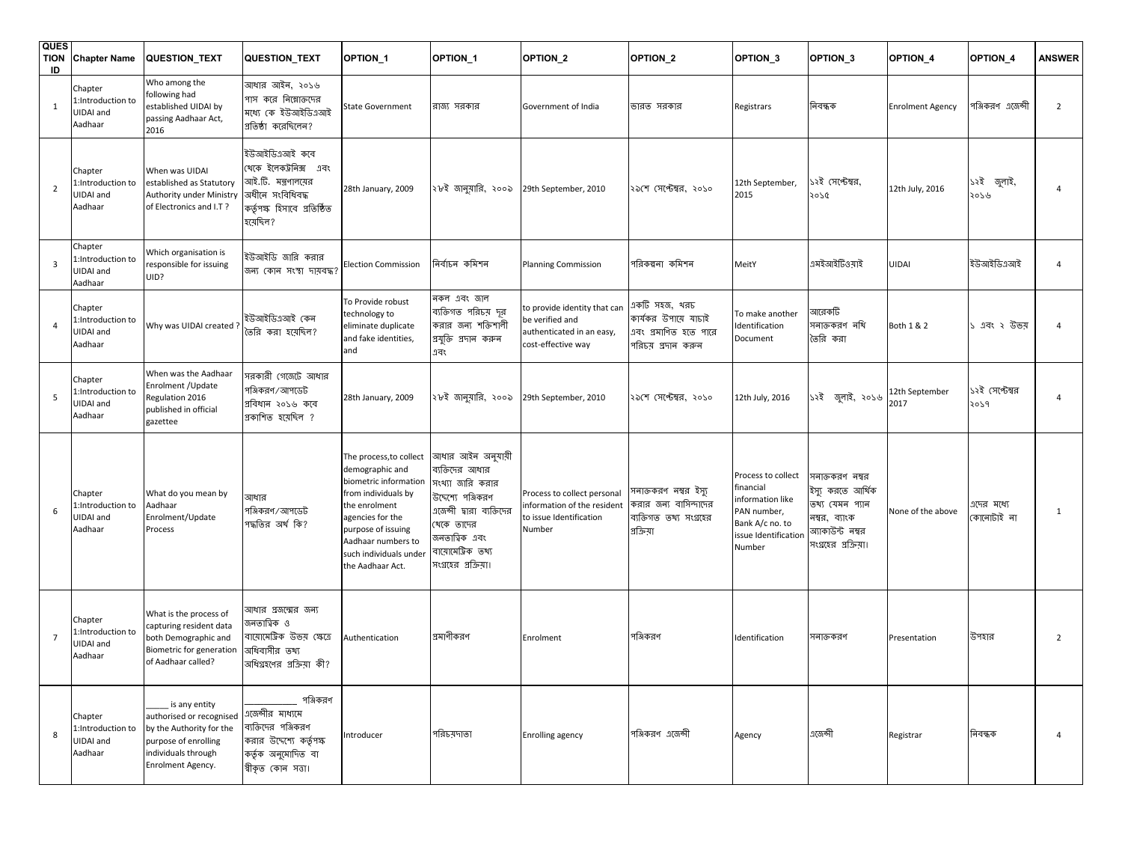| <b>QUES</b><br><b>TION</b><br>ID | <b>Chapter Name</b>                                 | QUESTION_TEXT                                                                                                                             | QUESTION_TEXT                                                                                                                 | OPTION <sub>1</sub>                                                                                                                                                                                                       | OPTION_1                                                                                                                                                                                | OPTION_2                                                                                           | OPTION_2                                                                                | OPTION <sub>3</sub>                                                                                                     | OPTION <sub>3</sub>                                                                                                  | OPTION_4                | OPTION_4                 | <b>ANSWER</b>  |
|----------------------------------|-----------------------------------------------------|-------------------------------------------------------------------------------------------------------------------------------------------|-------------------------------------------------------------------------------------------------------------------------------|---------------------------------------------------------------------------------------------------------------------------------------------------------------------------------------------------------------------------|-----------------------------------------------------------------------------------------------------------------------------------------------------------------------------------------|----------------------------------------------------------------------------------------------------|-----------------------------------------------------------------------------------------|-------------------------------------------------------------------------------------------------------------------------|----------------------------------------------------------------------------------------------------------------------|-------------------------|--------------------------|----------------|
|                                  | Chapter<br>:Introduction to<br>JIDAI and<br>Aadhaar | Who among the<br>following had<br>established UIDAI by<br>passing Aadhaar Act,<br>2016                                                    | আধার আইন, ২০১৬<br>পাস করে নিম্নোক্তদের<br>মধ্যে কে ইউআইডিএআই<br>প্রতিষ্ঠা করেছিলেন?                                           | <b>State Government</b>                                                                                                                                                                                                   | রাজ্য সরকার                                                                                                                                                                             | Government of India                                                                                | ভারত সরকার                                                                              | Registrars                                                                                                              | নিবন্ধক                                                                                                              | <b>Enrolment Agency</b> | পঞ্জিকরণ এজেন্সী         | $\overline{2}$ |
| $\overline{2}$                   | Chapter<br>Introduction to:<br>JIDAI and<br>Aadhaar | When was UIDAI<br>established as Statutory<br>Authority under Ministry<br>of Electronics and I.T?                                         | ইউআইডিএআই কবে<br>খেকে ইলেকট্ৰনিক্স এবং<br>আই.টি. মন্ত্রণালয়ের<br>অধীনে সংবিধিবদ্ধ<br>কর্তৃপক্ষ হিসাবে প্রতিষ্ঠিত<br>হয়েছিল? | 28th January, 2009                                                                                                                                                                                                        | ২৮ই জানুয়ারি, ২০০৯                                                                                                                                                                     | 29th September, 2010                                                                               | ২৯শে সেপ্টেম্বর, ২০১০                                                                   | 12th September,<br>2015                                                                                                 | ১২ই সেপ্টেম্বর,<br>2020                                                                                              | 12th July, 2016         | ১২ই জুলাই,<br>২০১৬       | $\overline{4}$ |
| 3                                | Chapter<br>:Introduction to<br>JIDAI and<br>Aadhaar | Which organisation is<br>responsible for issuing<br>UID?                                                                                  | ইউআইডি জারি করার<br>জন্য কোন সংস্থা দায়বদ্ধ?                                                                                 | <b>Election Commission</b>                                                                                                                                                                                                | নিৰ্বাচন কমিশন                                                                                                                                                                          | <b>Planning Commission</b>                                                                         | পরিকল্পনা কমিশন                                                                         | MeitY                                                                                                                   | এমইআইটিওয়াই                                                                                                         | UIDAI                   | ইউআইডিএআই                | $\overline{4}$ |
|                                  | Chapter<br>:Introduction to<br>JIDAI and<br>Aadhaar | Why was UIDAI created?                                                                                                                    | ইউআইডিএআই (কন<br>তৈরি করা হয়েছিল?                                                                                            | To Provide robust<br>technology to<br>eliminate duplicate<br>and fake identities,<br>and                                                                                                                                  | নকল এবং জাল<br>ব্যক্তিগত পরিচয় দূর<br>করার জন্য শক্তিশালী<br>প্ৰযুক্তি প্ৰদান কৰুন<br>এবং                                                                                              | to provide identity that can<br>be verified and<br>authenticated in an easy,<br>cost-effective way | একটি সহজ, থরচ<br>কার্যকর উপায়ে যাচাই<br>এবং প্রমাণিত হতে পারে<br>পরিচয় প্রদান করুন    | To make another<br>Identification<br>Document                                                                           | আরেকটি<br>ননাক্তকরণ নথি<br>তৈরি করা                                                                                  | Both 1 & 2              | ১ এবং ২ উভয়             | $\overline{4}$ |
| 5                                | Chapter<br>Introduction to:<br>JIDAI and<br>Aadhaar | When was the Aadhaar<br>Enrolment / Update<br>Regulation 2016<br>published in official<br>gazettee                                        | সরকারী গেজেটে আধার<br>পঞ্জিকরণ/আপডেট<br>গ্ৰবিধান ২০১৬ কৰে<br>গ্রকাশিত হয়েছিল ?                                               | 28th January, 2009                                                                                                                                                                                                        | ২৮ই জানুয়ারি, ২০০৯                                                                                                                                                                     | 29th September, 2010                                                                               | ২৯শে সেপ্টেম্বর, ২০১০                                                                   | 12th July, 2016                                                                                                         | ১২ই জুলাই, ২০১৬                                                                                                      | 12th September<br>2017  | ১২ই সেপ্টেম্বর<br>2059   | 4              |
|                                  | Chapter<br>Introduction to:<br>JIDAI and<br>Aadhaar | What do you mean by<br>Aadhaar<br>Enrolment/Update<br>Process                                                                             | আধার<br>পঞ্জিকরণ/আপডেট<br>পদ্ধতির অর্থ কি?                                                                                    | The process, to collect<br>demographic and<br>biometric information<br>from individuals by<br>the enrolment<br>agencies for the<br>purpose of issuing<br>Aadhaar numbers to<br>such individuals under<br>the Aadhaar Act. | আধার আইন অনুযায়ী<br>ব্যক্তিদের আধার<br>সংখ্যা জারি করার<br>উদ্দেশ্যে পঞ্জিকরণ<br>এজেন্সী দ্বারা ব্যক্তিদের<br>খেকে তাদের<br>জনতাত্বিক এবং<br>বায়োমেট্টিক তথ্য<br>সংগ্রহের প্রক্রিয়া। | Process to collect personal<br>information of the resident<br>to issue Identification<br>Number    | সনাক্তকরণ নম্বর ইস্যু<br>করার জন্য বাসিন্দাদের<br>ব্যক্তিগত তথ্য সংগ্রহের<br>প্রক্রিয়া | Process to collect<br>financial<br>information like<br>PAN number,<br>Bank A/c no. to<br>issue Identification<br>Number | সনাক্তকরণ নম্বর<br>ইস্যু করতে আর্থিক<br>তথ্য যেমন প্যান<br>নম্বর, ব্যাংক<br>অ্যাকাউন্ট নম্বর<br>সংগ্রহের প্রক্রিয়া। | None of the above       | গদের মধ্যে<br>কোনোটাই না | $\mathbf{1}$   |
| $\overline{7}$                   | Chapter<br>:Introduction to<br>JIDAI and<br>Aadhaar | What is the process of<br>capturing resident data<br>both Demographic and<br>Biometric for generation<br>of Aadhaar called?               | সাধার প্রজন্মের জন্য<br>জনতাত্বিক ও<br>বায়োমেট্টিক উভয় ক্ষেত্ৰে<br>অধিবাসীর তথ্য<br>অধিগ্রহণের প্রক্রিয়া কী?               | Authentication                                                                                                                                                                                                            | প্রমাণীকরণ                                                                                                                                                                              | Enrolment                                                                                          | পঞ্জিকরণ                                                                                | Identification                                                                                                          | সনাক্তকরণ                                                                                                            | Presentation            | উপহার                    | $\overline{2}$ |
|                                  | Chapter<br>:Introduction to<br>JIDAI and<br>Aadhaar | is any entity<br>authorised or recognised<br>by the Authority for the<br>purpose of enrolling<br>individuals through<br>Enrolment Agency. | পঞ্জিকরণ<br>এজেন্সীর মাধ্যমে<br>ব্যক্তিদের পঞ্জিকরণ<br>করার উদ্দেশ্যে কর্তৃপক্ষ<br>কৰ্তৃক অনুমোদিত বা<br>শ্বীকৃত কোন সত্তা।   | Introducer                                                                                                                                                                                                                | পরিচয়দাতা                                                                                                                                                                              | <b>Enrolling agency</b>                                                                            | পঞ্জিকরণ এজেন্সী                                                                        | Agency                                                                                                                  | এজেন্সী                                                                                                              | Registrar               | নিবন্ধক                  | 4              |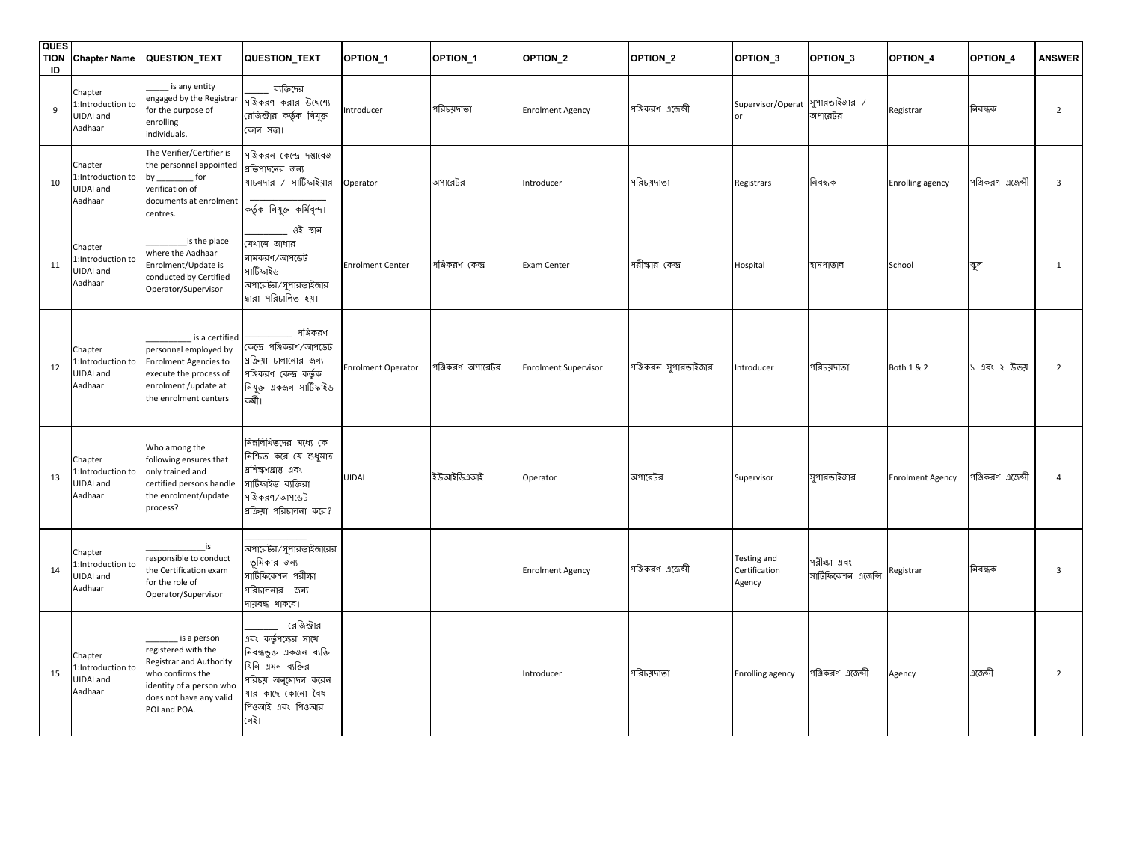| <b>QUES</b><br>ID | <b>TION</b> Chapter Name                             | <b>QUESTION TEXT</b>                                                                                                                                     | QUESTION_TEXT                                                                                                                                               | OPTION_1                  | OPTION_1         | OPTION_2                    | OPTION_2             | OPTION_3                               | OPTION_3                            | <b>OPTION 4</b>         | OPTION_4         | <b>ANSWER</b>  |
|-------------------|------------------------------------------------------|----------------------------------------------------------------------------------------------------------------------------------------------------------|-------------------------------------------------------------------------------------------------------------------------------------------------------------|---------------------------|------------------|-----------------------------|----------------------|----------------------------------------|-------------------------------------|-------------------------|------------------|----------------|
| $\overline{9}$    | Chapter<br>:Introduction to<br>UIDAI and<br>Aadhaar  | is any entity<br>engaged by the Registrar<br>for the purpose of<br>enrolling<br>individuals.                                                             | ব্যক্তিদের<br>পঞ্জিকরণ করার উদ্দেশ্যে<br>রেজিস্ট্রার কর্তৃক নিযুক্ত<br>কোন সত্তা।                                                                           | ntroducer                 | পরিচ্মদাতা       | <b>Enrolment Agency</b>     | পঞ্জিকরণ এজেন্সী     | Supervisor/Operat  সুপারভাইজার /       | অপারেটর                             | Registrar               | নিবন্ধক          | $\overline{2}$ |
| 10                | Chapter<br>:Introduction to<br>UIDAI and<br>Aadhaar  | The Verifier/Certifier is<br>the personnel appointed<br>by ____________ for<br>verification of<br>documents at enrolment<br>centres.                     | পঞ্জিকরন কেন্দ্রে দস্তাবেজ<br>প্রতিপাদনের জন্য<br>যাচনদার / সার্টিফাইয়ার<br>কৰ্তৃক নিযুক্ত কৰ্মিবৃন্দ।                                                     | Operator                  | অপারেটর          | Introducer                  | পরিচয়দাতা           | Registrars                             | নিবন্ধক                             | Enrolling agency        | পঞ্জিকরণ এজেন্সী | 3              |
| 11                | Chapter<br>I:Introduction to<br>JIDAI and<br>Aadhaar | is the place<br>where the Aadhaar<br>Enrolment/Update is<br>conducted by Certified<br>Operator/Supervisor                                                | ্ ওই স্থান<br>যেথানে আধার<br>নামকরণ/আপডেট<br>সার্টিফাইড<br>অপারেটর/সুপারভাইজার<br>দ্বারা পরিচালিত হয়।                                                      | <b>Enrolment Center</b>   | পঞ্জিকরণ কেন্দ্র | Exam Center                 | পরীক্ষার কেন্দ্র     | Hospital                               | হাসপাতাল                            | School                  | স্কুল            | $\mathbf{1}$   |
| 12                | Chapter<br>:Introduction to<br>JIDAI and<br>Aadhaar  | is a certified<br>personnel employed by<br><b>Enrolment Agencies to</b><br>execute the process of<br>enrolment / update at<br>the enrolment centers      | পঞ্জিকরণ<br>কেন্দ্রে পঞ্জিকরণ/আপডেট<br>প্রক্রিয়া চালানোর জন্য<br>পঞ্জিকরণ কেন্দ্র কর্তৃক<br>নিযুক্ত একজন সার্টিফাইড<br>কৰ্মী।                              | <b>Enrolment Operator</b> | পঞ্জিকরণ অপারেটর | <b>Enrolment Supervisor</b> | পঞ্জিকরন সুপারভাইজার | Introducer                             | পরিচয়দাতা                          | Both 1 & 2              | ১ এবং ২ উভয়     | $\overline{2}$ |
| 13                | Chapter<br>:Introduction to<br>UIDAI and<br>Aadhaar  | Who among the<br>following ensures that<br>only trained and<br>certified persons handle<br>the enrolment/update<br>process?                              | নিম্নলিখিতদের মধ্যে কে<br>নিশ্চিত করে যে শুধুমাত্র<br>প্রশিক্ষণপ্রাপ্ত এবং<br>সার্টিফাইড ব্যক্তিরা<br>পঞ্জিকরণ/আপডেট<br>প্রক্রিয়া পরিচালনা করে?            | UIDAI                     | ইউআইডিএআই        | Operator                    | অপারেটর              | Supervisor                             | সুপারভাইজার                         | <b>Enrolment Agency</b> | পঞ্জিকরণ এজেন্সী | 4              |
| 14                | Chapter<br>:Introduction to<br>UIDAI and<br>Aadhaar  | $\_$ is<br>responsible to conduct<br>the Certification exam<br>for the role of<br>Operator/Supervisor                                                    | অ <mark>পারেটর</mark> ⁄ সুপারভাইজারের<br>ভূমিকার জন্য<br>সার্টিফিকেশন পরীক্ষা<br>পরিচালনার জন্য<br>দায়বদ্ধ থাকবে।                                          |                           |                  | <b>Enrolment Agency</b>     | পঞ্জিকরণ এজেন্সী     | Testing and<br>Certification<br>Agency | পরীক্ষা এবং<br>সার্টিফিকেশন এজেন্সি | Registrar               | নিবন্ধক          | 3              |
| 15                | Chapter<br>:Introduction to<br>UIDAI and<br>Aadhaar  | is a person<br>registered with the<br>Registrar and Authority<br>who confirms the<br>identity of a person who<br>does not have any valid<br>POI and POA. | রেজিস্ট্রার<br>এবং কর্তৃপক্ষের সাথে<br>নিবন্ধভুক্ত একজন ব্যক্তি<br>যিনি এমন ব্যক্তির<br>পরিচয় অনুমোদন করেন<br>যার কাছে কোনো বৈধ<br>পিওআই এবং পিওআর<br>লেই। |                           |                  | Introducer                  | পরিচয়দাতা           | <b>Enrolling agency</b>                | পঞ্জিকরণ এজেন্সী                    | Agency                  | এজেন্সী          | $\overline{2}$ |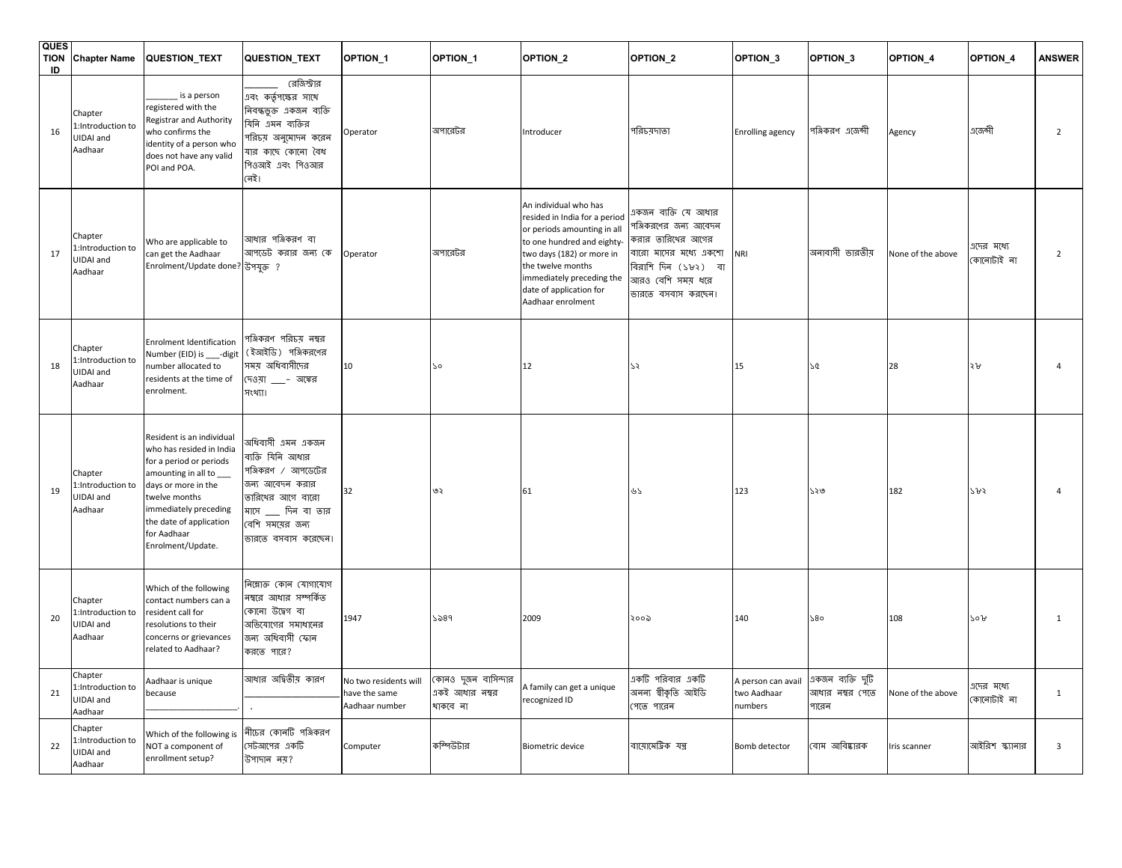| <b>QUES</b><br><b>TION</b><br>ID | <b>Chapter Name</b>                                  | QUESTION_TEXT                                                                                                                                                                                                                             | QUESTION_TEXT                                                                                                                                                       | OPTION_1                                                 | OPTION_1                                          | OPTION_2                                                                                                                                                                                                                                           | OPTION_2                                                                                                                                                      | OPTION_3                                     | OPTION_3                                      | OPTION_4          | OPTION_4                 | <b>ANSWER</b>  |
|----------------------------------|------------------------------------------------------|-------------------------------------------------------------------------------------------------------------------------------------------------------------------------------------------------------------------------------------------|---------------------------------------------------------------------------------------------------------------------------------------------------------------------|----------------------------------------------------------|---------------------------------------------------|----------------------------------------------------------------------------------------------------------------------------------------------------------------------------------------------------------------------------------------------------|---------------------------------------------------------------------------------------------------------------------------------------------------------------|----------------------------------------------|-----------------------------------------------|-------------------|--------------------------|----------------|
| 16                               | Chapter<br>:Introduction to<br>JIDAI and<br>Aadhaar  | is a person<br>registered with the<br>Registrar and Authority<br>who confirms the<br>identity of a person who<br>does not have any valid<br>POI and POA.                                                                                  | রেজিস্ট্রার<br>এবং কর্তৃপক্ষের সাথে<br>নিবন্ধতুক্ত একজন ব্যক্তি<br>যিনি এমন ব্যক্তির<br>পরিচয় অনুমোদন করেন<br>যার কাছে কোনো বৈধ<br>পিওআই এবং পিওআর<br>লেই।         | Operator                                                 | অপারেটর                                           | Introducer                                                                                                                                                                                                                                         | পরিচয়দাতা                                                                                                                                                    | <b>Enrolling agency</b>                      | পঞ্জিকরণ এজেন্সী                              | Agency            | এজেন্সী                  | $\overline{2}$ |
| 17                               | Chapter<br>1:Introduction to<br>JIDAI and<br>Aadhaar | Who are applicable to<br>can get the Aadhaar<br>Enrolment/Update done? উপযুক্ত ?                                                                                                                                                          | আধার পঞ্জিকরণ বা<br>আপডেট করার জন্য কে                                                                                                                              | Operator                                                 | অপারেটর                                           | An individual who has<br>resided in India for a period<br>or periods amounting in all<br>to one hundred and eighty-<br>two days (182) or more in<br>the twelve months<br>immediately preceding the<br>date of application for<br>Aadhaar enrolment | একজন ব্যক্তি যে আধার<br>পঞ্জিকরণের জন্য আবেদন<br>করার তারিখের আগের<br>বারো মাসের মধ্যে একশো<br>বিরাশি দিন (১৮২) বা<br>আরও বেশি সময় ধরে<br>ভারতে বসবাস করছেন। | NRI                                          | অনাবাসী ভারতীয়                               | None of the above | এদের মধ্যে<br>কোনোটাই না | $\overline{2}$ |
| 18                               | Chapter<br>:Introduction to<br>JIDAI and<br>Aadhaar  | <b>Enrolment Identification</b><br>Number (EID) is ___-digit<br>number allocated to<br>residents at the time of<br>enrolment.                                                                                                             | পঞ্জিকরণ পরিচয় নম্বর<br>( ইআইডি )  পঞ্জিকরণের<br>সময় অধিবাসীদের<br>দেওয়া ___- অঙ্কের<br>সংখ্যা।                                                                  | 10                                                       | 20                                                | 12                                                                                                                                                                                                                                                 | 75                                                                                                                                                            | 15                                           | 75                                            | 28                | <b>ጎን</b>                | 4              |
| 19                               | Chapter<br>1:Introduction to<br>UIDAI and<br>Aadhaar | Resident is an individual<br>who has resided in India<br>for a period or periods<br>amounting in all to _<br>days or more in the<br>twelve months<br>immediately preceding<br>the date of application<br>for Aadhaar<br>Enrolment/Update. | অধিবাসী এমন একজন<br>ব্যক্তি যিনি আধার<br>পঞ্জিকরণ / আপডেটের<br>জন্য আবেদন করার<br>তারিখের আগে বারো<br>মাসে __ দিন বা তার<br>বেশি সময়ের জন্য<br>তারতে বসবাস করেছেন। | 32                                                       | ৩২                                                | 61                                                                                                                                                                                                                                                 | ৬১                                                                                                                                                            | 123                                          | ১২৩                                           | 182               | ১৮২                      |                |
| 20                               | Chapter<br>1:Introduction to<br>UIDAI and<br>Aadhaar | Which of the following<br>contact numbers can a<br>resident call for<br>resolutions to their<br>concerns or grievances<br>related to Aadhaar?                                                                                             | নিম্নোক্ত কোন যোগাযোগ<br>নম্বরে আধার সম্পর্কিত<br>কোনো উদ্বেগ বা<br>অভিযোগের সমাধানের<br>জন্য অধিবাসী ফোন<br>করতে পারে?                                             | 1947                                                     | ১৯৪৭                                              | 2009                                                                                                                                                                                                                                               | ২০০৯                                                                                                                                                          | 140                                          | 980                                           | 108               | २०७                      | $\mathbf{1}$   |
| 21                               | Chapter<br>1:Introduction to<br>UIDAI and<br>Aadhaar | Aadhaar is unique<br>because                                                                                                                                                                                                              | আধার অদ্বিতীয় কারণ                                                                                                                                                 | No two residents will<br>have the same<br>Aadhaar number | কোনও দুজন বাসিন্দার<br>একই আধার নম্বর<br>থাকবে না | A family can get a unique<br>recognized ID                                                                                                                                                                                                         | একটি পরিবার একটি<br>অনন্য শ্বীকৃতি আইডি<br>পেতে পারেন                                                                                                         | A person can avail<br>two Aadhaar<br>numbers | একজন ব্যক্তি দুটি<br>আধার নম্বর পেতে<br>পারেন | None of the above | গদের মধ্যে<br>কোনোটাই না | $\mathbf{1}$   |
| 22                               | Chapter<br>1:Introduction to<br>UIDAI and<br>Aadhaar | Which of the following is<br>NOT a component of<br>enrollment setup?                                                                                                                                                                      | নীচের কোনটি পঞ্জিকরণ<br>সেটআপের একটি<br>উপাদান নয়?                                                                                                                 | Computer                                                 | কম্পিউটার                                         | <b>Biometric device</b>                                                                                                                                                                                                                            | বায়োমেট্টিক যন্ত্ৰ                                                                                                                                           | Bomb detector                                | বোম আবিষ্কারক                                 | Iris scanner      | আইরিশ স্ক্যানার          | 3              |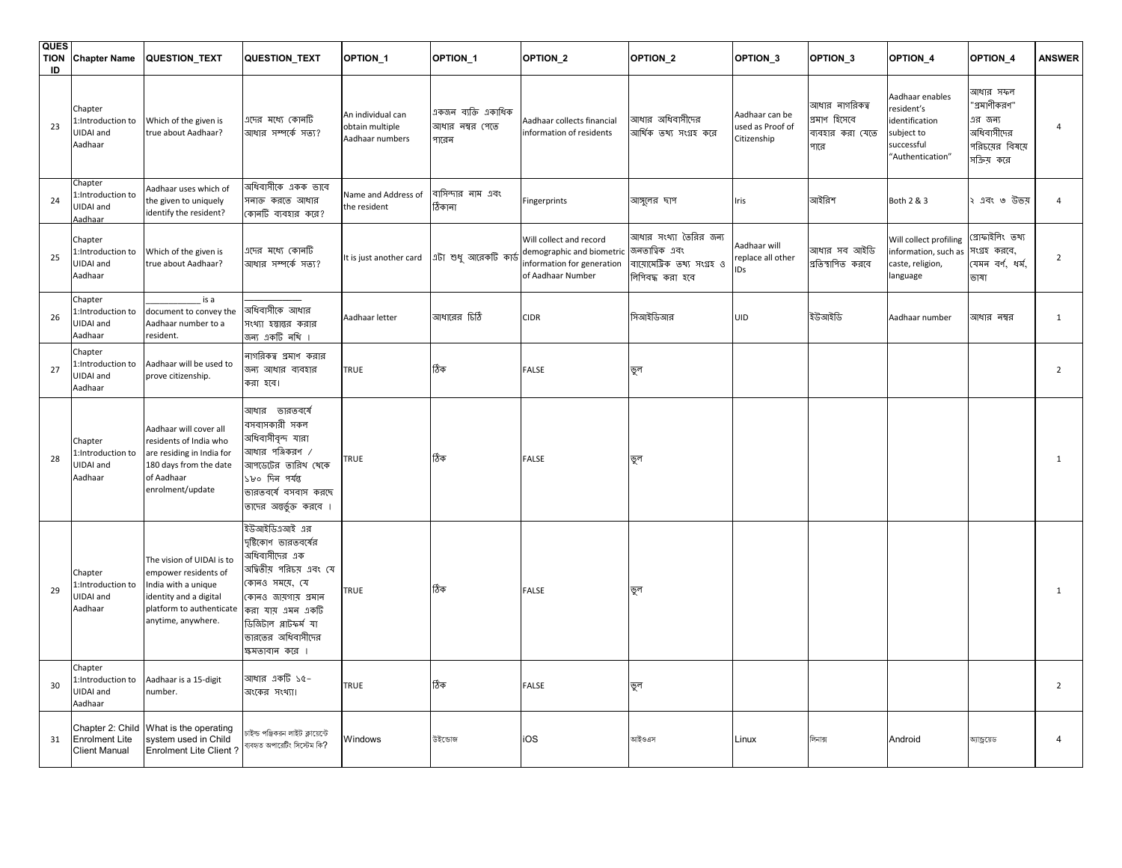| <b>QUES</b><br><b>TION</b><br>ID | <b>Chapter Name</b>                                               | QUESTION_TEXT                                                                                                                                        | <b>QUESTION_TEXT</b>                                                                                                                                                                                            | OPTION <sub>1</sub>                                     | OPTION <sub>1</sub>                             | OPTION <sub>2</sub>                                                                                     | OPTION_2                                                                                | OPTION <sub>3</sub>                               | OPTION <sub>3</sub>                                         | OPTION_4                                                                                        | OPTION <sub>4</sub>                                                                 | <b>ANSWER</b>  |
|----------------------------------|-------------------------------------------------------------------|------------------------------------------------------------------------------------------------------------------------------------------------------|-----------------------------------------------------------------------------------------------------------------------------------------------------------------------------------------------------------------|---------------------------------------------------------|-------------------------------------------------|---------------------------------------------------------------------------------------------------------|-----------------------------------------------------------------------------------------|---------------------------------------------------|-------------------------------------------------------------|-------------------------------------------------------------------------------------------------|-------------------------------------------------------------------------------------|----------------|
| 23                               | Chapter<br>1:Introduction to<br>JIDAI and<br>Aadhaar              | Which of the given is<br>true about Aadhaar?                                                                                                         | এদের মধ্যে কোনটি<br>আধার সম্পর্কে সত্য?                                                                                                                                                                         | An individual can<br>obtain multiple<br>Aadhaar numbers | একজন ব্যক্তি একাধিক<br>আধার নম্বর পেতে<br>পারেন | Aadhaar collects financial<br>information of residents                                                  | আধার অধিবাসীদের<br>আৰ্থিক তথ্য সংগ্ৰহ করে                                               | Aadhaar can be<br>used as Proof of<br>Citizenship | আধার নাগরিকত্ব<br>প্ৰমাণ হিসেবে<br>ব্যবহার করা যেতে<br>পারে | Aadhaar enables<br>resident's<br>identification<br>subject to<br>successful<br>"Authentication" | আধার সফল<br>'গ্রমাণীকরণ"<br>এর জন্য<br>অধিবাসীদের<br>পরিচয়ের বিষয়ে<br>সক্রিয় করে | $\overline{4}$ |
| 24                               | Chapter<br>1:Introduction to<br>UIDAI and<br>Aadhaar              | Aadhaar uses which of<br>the given to uniquely<br>identify the resident?                                                                             | অধিবাসীকে একক ভাবে<br>সনাক করতে আধার<br>কোনটি ব্যবহার করে?                                                                                                                                                      | Name and Address of<br>the resident                     | বাসিন্দার নাম এবং<br>ঠিকানা                     | Fingerprints                                                                                            | আসুলের ছাপ                                                                              | Iris                                              | আইরিশ                                                       | Both 2 & 3                                                                                      | ্এবং ৩ উভয়                                                                         | $\overline{4}$ |
| 25                               | Chapter<br>:Introduction to<br>JIDAI and<br>Aadhaar               | Which of the given is<br>true about Aadhaar?                                                                                                         | এদের মধ্যে কোনটি<br>আধার সম্পর্কে সত্য?                                                                                                                                                                         |                                                         | It is just another card abi শুধু আরেকটি কার্ড   | Will collect and record<br>demographic and biometric<br>information for generation<br>of Aadhaar Number | আধার সংথ্যা তৈরির জন্য<br>জনতাত্বিক এবং<br>বায়োমেটিক তথ্য সংগ্ৰহ ও<br>গিপিবদ্ধ করা হবে | Aadhaar will<br>replace all other<br>IDs          | আধার সব আইডি<br>প্রতিস্থাপিত করবে                           | Will collect profiling<br>information, such as<br>caste, religion,<br>language                  | প্ৰোফাইলিং তথ্য<br>সংগ্ৰহ করবে,<br>যেমন বৰ্ণ, ধৰ্ম,<br>ভাষা                         | $\overline{2}$ |
| 26                               | Chapter<br>1:Introduction to<br>UIDAI and<br>Aadhaar              | is a<br>document to convey the<br>Aadhaar number to a<br>resident.                                                                                   | অধিবাসীকে আধার<br>সংখ্যা হস্তান্তর করার<br>জন্য একটি নথি ।                                                                                                                                                      | Aadhaar letter                                          | আধারের চিঠি                                     | <b>CIDR</b>                                                                                             | সিআইডিআর                                                                                | UID                                               | ইউআইডি                                                      | Aadhaar number                                                                                  | আধার নম্বর                                                                          | $\mathbf{1}$   |
| 27                               | Chapter<br>:Introduction to<br>UIDAI and<br>Aadhaar               | Aadhaar will be used to<br>prove citizenship.                                                                                                        | নাগরিকত্ব প্রমাণ করার<br>জন্য আধার ব্যবহার<br>করা হবে।                                                                                                                                                          | TRUE                                                    | ঠিক                                             | <b>FALSE</b>                                                                                            | ভূল                                                                                     |                                                   |                                                             |                                                                                                 |                                                                                     | $\overline{2}$ |
| 28                               | Chapter<br>1:Introduction to<br>JIDAI and<br>Aadhaar              | Aadhaar will cover all<br>residents of India who<br>are residing in India for<br>180 days from the date<br>of Aadhaar<br>enrolment/update            | আধার ভারতবর্ষে<br>বসবাসকারী সকল<br>অধিবাসীবন্দ যারা<br>আধার পঞ্জিকরণ ⁄<br>আপডেটের তারিখ খেকে<br>১৮০ দিন পর্যন্ত<br>ভারতবর্ষে বসবাস করছে<br>তাদের অন্তর্ভুক্ত করবে ।                                             | TRUE                                                    | ঠিক                                             | <b>FALSE</b>                                                                                            | ভূল                                                                                     |                                                   |                                                             |                                                                                                 |                                                                                     | 1              |
| 29                               | Chapter<br>:Introduction to<br>JIDAI and<br>Aadhaar               | The vision of UIDAI is to<br>empower residents of<br>India with a unique<br>identity and a digital<br>platform to authenticate<br>anytime, anywhere. | ইউআইডিএআই এর<br>দৃষ্টিকোণ ভারতবর্ষের<br>অধিবাসীদের এক<br>অদ্বিতীয় পরিচয় এবং যে<br>কোনও সময়ে, যে<br>কোনও জায়গায় প্ৰমান<br>করা যায় এমন একটি<br>ডিজিটাল প্লাটফর্ম যা<br>ভারতের অধিবাসীদের<br>ক্ষমতাবান করে । | TRUE                                                    | ঠিক                                             | <b>FALSE</b>                                                                                            | ভূল                                                                                     |                                                   |                                                             |                                                                                                 |                                                                                     | $\mathbf{1}$   |
| 30                               | Chapter<br>1:Introduction to<br>UIDAI and<br>Aadhaar              | Aadhaar is a 15-digit<br>number.                                                                                                                     | আধার একটি ১৫-<br>অংকের সংখ্যা।                                                                                                                                                                                  | TRUE                                                    | ঠিক                                             | <b>FALSE</b>                                                                                            | ভূল                                                                                     |                                                   |                                                             |                                                                                                 |                                                                                     | $\overline{2}$ |
| 31                               | Chapter 2: Child<br><b>Enrolment Lite</b><br><b>Client Manual</b> | What is the operating<br>system used in Child<br><b>Enrolment Lite Client?</b>                                                                       | চাইল্ড পঞ্জিকরন লাইট ক্লায়েন্টে<br>ব্যবহৃত অপারেটিং সিস্টেম কি?                                                                                                                                                | Windows                                                 | উইডোজ                                           | iOS                                                                                                     | আইওএস                                                                                   | Linux                                             | লিনাক্স                                                     | Android                                                                                         | আন্ড্রয়েড                                                                          | 4              |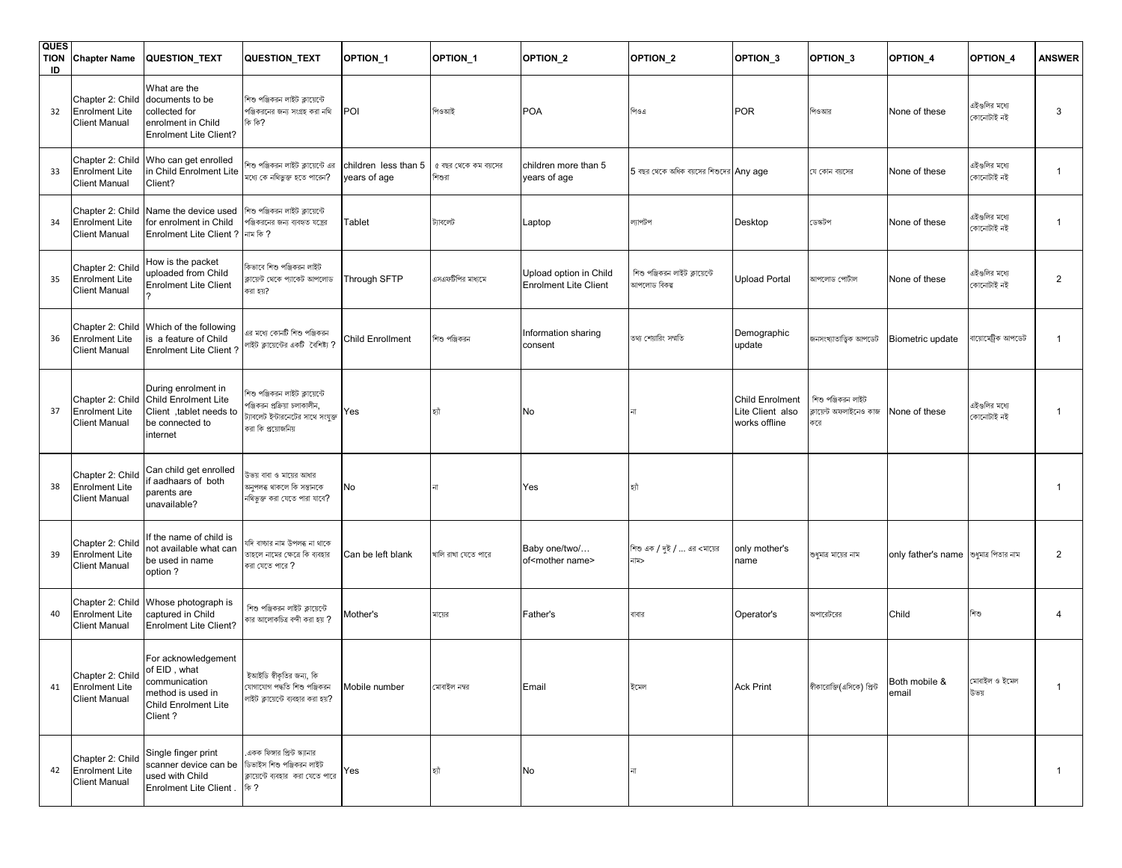| <b>QUES</b><br><b>TION</b><br>ID | <b>Chapter Name</b>                                                            | <b>QUESTION_TEXT</b>                                                                                                | QUESTION_TEXT                                                                                                              | OPTION <sub>1</sub>                  | OPTION_1                       | OPTION_2                                               | OPTION_2                                       | OPTION_3                                             | OPTION_3                                             | OPTION_4                              | OPTION_4                    | <b>ANSWER</b>  |
|----------------------------------|--------------------------------------------------------------------------------|---------------------------------------------------------------------------------------------------------------------|----------------------------------------------------------------------------------------------------------------------------|--------------------------------------|--------------------------------|--------------------------------------------------------|------------------------------------------------|------------------------------------------------------|------------------------------------------------------|---------------------------------------|-----------------------------|----------------|
| 32                               | Chapter 2: Child<br><b>Enrolment Lite</b><br><b>Client Manual</b>              | What are the<br>documents to be<br>collected for<br>enrolment in Child<br><b>Enrolment Lite Client?</b>             | শিশু পঞ্জিকরন লাইট ক্লায়েন্টে<br>পঞ্জিকরনের জন্য সংগ্রহ করা নথি<br>কি কি?                                                 | POI                                  | পিওআই                          | <b>POA</b>                                             | পিওএ                                           | <b>POR</b>                                           | পিওআর                                                | None of these                         | এইগুলির মধ্যে<br>কোনোটাই নই | 3              |
| 33                               | Chapter 2: Child<br><b>Enrolment Lite</b><br><b>Client Manual</b>              | Who can get enrolled<br>in Child Enrolment Lite<br>Client?                                                          | শিশু পঞ্জিকরন লাইট ক্লায়েন্টে এর<br>মধ্যে কে নথিভুক্ত হতে পারেন?                                                          | children less than 5<br>years of age | ৫ বছর থেকে কম বয়সের<br>শিশুরা | children more than 5<br>years of age                   | $5$ বছর থেকে অধিক বয়সের শিশুদের $ Any age$    |                                                      | যে কোন বয়সের                                        | None of these                         | এইগুলির মধ্যে<br>কোনোটাই নই | 1              |
| 34                               | Chapter 2: Child<br><b>Enrolment Lite</b><br><b>Client Manual</b>              | Name the device used<br>for enrolment in Child<br>Enrolment Lite Client ?   नाम कि ?                                | শিশু পঞ্জিকরন লাইট ক্লায়েন্টে<br>পঞ্জিকরনের জন্য ব্যবহৃত যন্ত্রের                                                         | <b>Tablet</b>                        | ট্যাবলেট                       | Laptop                                                 | ল্যাপটপ                                        | Desktop                                              | ডেস্কটপ                                              | None of these                         | এইগুলির মধ্যে<br>কোনোটাই নই | 1              |
| 35                               | Chapter 2: Child<br><b>Enrolment Lite</b><br><b>Client Manual</b>              | How is the packet<br>uploaded from Child<br><b>Enrolment Lite Client</b>                                            | কিভাবে শিশু পঞ্জিকরন লাইট<br>ক্লায়েন্ট থেকে প্যাকেট আপলোড<br>করা হয়?                                                     | Through SFTP                         | এসএফটিপির মাধ্যমে              | Upload option in Child<br><b>Enrolment Lite Client</b> | শিশু পঞ্জিকরন লাইট ক্লায়েন্টে<br>আপলোড বিকল্প | Upload Portal                                        | আপলোড পোটাল                                          | None of these                         | এইগুলির মধ্যে<br>কোনোটাই নই | $\overline{2}$ |
| 36                               | Chapter 2: Child<br><b>Enrolment Lite</b><br><b>Client Manual</b>              | Which of the following<br>is a feature of Child<br><b>Enrolment Lite Client?</b>                                    | এর মধ্যে কোনটি শিশু পঞ্জিকরন<br>লাইট ক্লায়েন্টের একটি বৈশিষ্ট্য ?                                                         | Child Enrollment                     | শিশু পঞ্জিকরন                  | Information sharing<br>consent                         | তথ্য শেয়ারিং সম্মতি                           | Demographic<br>update                                | জনসংখ্যাতাত্ত্বিক আপডেট                              | Biometric update                      | বায়োমেট্ৰিক আপডেট          | $\mathbf{1}$   |
| 37                               | Chapter 2: Child<br><b>Enrolment Lite</b><br><b>Client Manual</b>              | During enrolment in<br>Child Enrolment Lite<br>Client, tablet needs to<br>be connected to<br>internet               | শিশু পঞ্জিকরন লাইট ক্লায়েন্টে<br>পঞ্জিকরন প্রক্রিয়া চলাকালীন,<br>ট্যাবলেট ইন্টারনেটের সাথে সংযুক্ত<br>করা কি প্রয়োজনিয় | Yes                                  | হ্যী                           | No                                                     |                                                | Child Enrolment<br>Lite Client also<br>works offline | শিশু পঞ্জিকরন লাইট<br>ক্লায়েন্ট অফলাইনেও কাজ<br>কৰে | None of these                         | এইগুলির মধ্যে<br>কোনোটাই নই | 1              |
| 38                               | Chapter 2: Child<br><b>Enrolment Lite</b><br><b>Client Manual</b>              | Can child get enrolled<br>f aadhaars of both<br>parents are<br>unavailable?                                         | উভয় বাবা ও মায়ের আধার<br>অনুপলব্ধ থাকলে কি সন্তানকে<br>নথিভুক্ত করা যেতে পারা যাবে?                                      | No                                   | না                             | Yes                                                    | হাঁ                                            |                                                      |                                                      |                                       |                             | 1              |
| 39                               | Chapter 2: Child<br><b>Enrolment Lite</b><br><b>Client Manual</b>              | f the name of child is<br>not available what can<br>be used in name<br>option?                                      | যদি বাচ্চার নাম উপলব্ধ না থাকে<br>তাহলে নামের ক্ষেত্রে কি ব্যবহার<br>করা যেতে পারে <b>?</b>                                | Can be left blank                    | খালি রাখা যেতে পারে            | Baby one/two/<br>of <mother name=""></mother>          | শিশু এক / দুই /  এর <মায়ের<br>নাম>            | only mother's<br>name                                | শুধুমাত্র মায়ের নাম                                 | only father's name sধুমাত্র পিতার নাম |                             | $\overline{2}$ |
| 40                               | Chapter 2: Child<br><b>Enrolment Lite</b><br><b>Client Manual</b>              | Whose photograph is<br>captured in Child<br><b>Enrolment Lite Client?</b>                                           | শিশু পঞ্জিকরন লাইট ক্লায়েন্টে<br>কার আলোকচিত্র বন্দী করা হয় ?                                                            | Mother's                             | মায়ের                         | Father's                                               | বাবার                                          | Operator's                                           | অপারেটরের                                            | Child                                 | শিশু                        | 4              |
| 41                               | Chapter 2: Child of EID, what<br><b>Enrolment Lite</b><br><b>Client Manual</b> | For acknowledgement<br>communication<br>method is used in<br><b>Child Enrolment Lite</b><br>Client?                 | ইআইডি স্বীকৃতির জন্য, কি<br>যোগাযোগ পদ্ধতি শিশু পঞ্জিকরন<br>লাইট ক্লায়েন্টে ব্যবহার করা হয়?                              | Mobile number                        | মোবাইল নম্বর                   | Email                                                  | ইমেল                                           | <b>Ack Print</b>                                     | স্বীকারোক্তি(এসিকে) প্রিন্ট                          | Both mobile &<br>email                | মোবাইল ও ইমেল<br>উভয়       | $\mathbf{1}$   |
| 42                               | Chapter 2: Child<br><b>Enrolment Lite</b><br><b>Client Manual</b>              | Single finger print<br>scanner device can be ডিভাইস শিশু পঞ্জিকরন লাইট<br>used with Child<br>Enrolment Lite Client. | একক ফিঙ্গার প্রিন্ট স্ক্যানার<br>ক্লায়েন্টে ব্যবহার করা যেতে পারে<br>কি ?                                                 | Yes                                  | হাঁ                            | No                                                     |                                                |                                                      |                                                      |                                       |                             | $\mathbf{1}$   |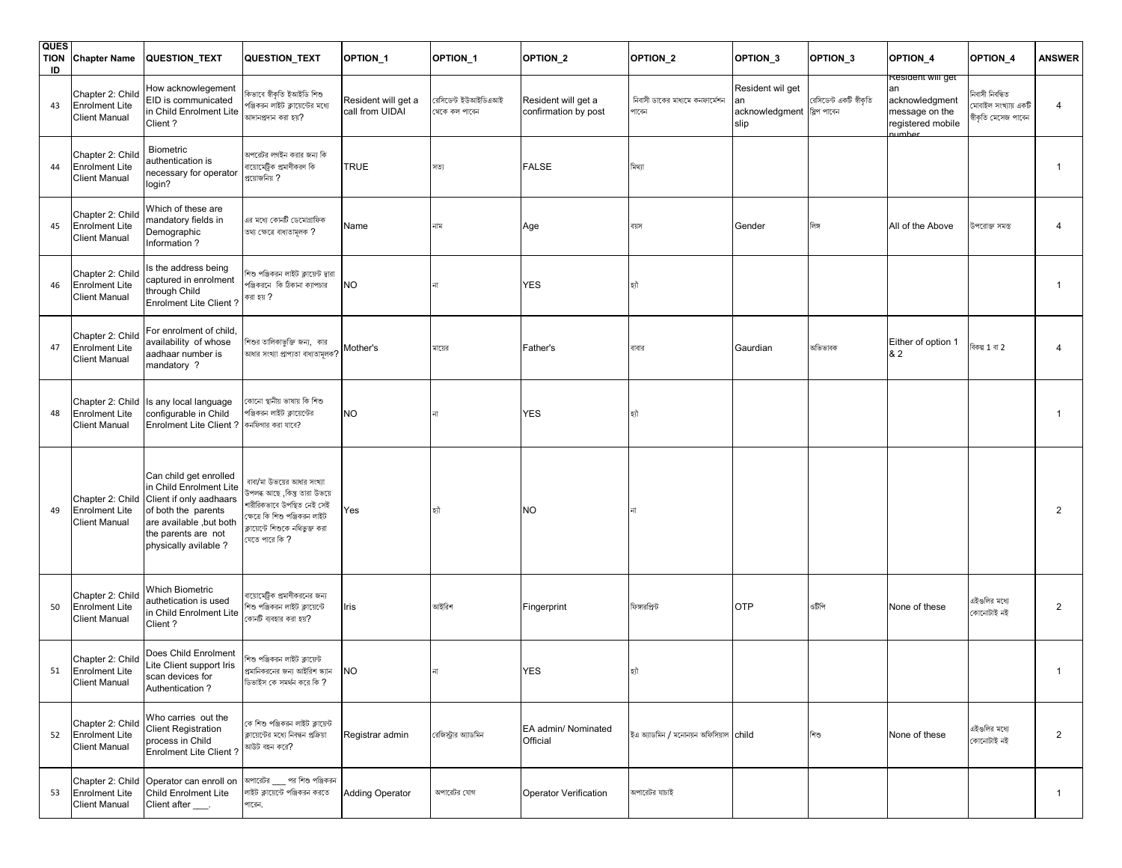| <b>QUES</b><br><b>TION</b><br>ID | <b>Chapter Name</b>                                               | <b>QUESTION_TEXT</b>                                                                                                                                                           | <b>QUESTION_TEXT</b>                                                                                                                                                              | OPTION <sub>1</sub>                    | OPTION <sub>1</sub>                 | OPTION <sub>2</sub>                         | OPTION_2                                 | OPTION <sub>3</sub>                                   | OPTION <sub>3</sub>     | OPTION_4                                                                            | OPTION <sub>4</sub>                                           | <b>ANSWER</b>  |
|----------------------------------|-------------------------------------------------------------------|--------------------------------------------------------------------------------------------------------------------------------------------------------------------------------|-----------------------------------------------------------------------------------------------------------------------------------------------------------------------------------|----------------------------------------|-------------------------------------|---------------------------------------------|------------------------------------------|-------------------------------------------------------|-------------------------|-------------------------------------------------------------------------------------|---------------------------------------------------------------|----------------|
| 43                               | Chapter 2: Child<br><b>Enrolment Lite</b><br><b>Client Manual</b> | How acknowlegement<br>EID is communicated<br>in Child Enrolment Lite<br>Client?                                                                                                | কিভাবে স্বীকৃতি ইআইডি শিশু<br>পঞ্জিকরন লাইট ক্লায়েন্টের মধ্যে<br>আদানপ্রদান করা হয়?                                                                                             | Resident will get a<br>call from UIDAI | রসিডেন্ট ইউআইডিএআই<br>থেকে কল পাবেন | Resident will get a<br>confirmation by post | নিবাসী ডাকের মাধ্যমে কনফার্মেশন<br>পাৰেন | Resident wil get<br>acknowledgment श्लिश शासन<br>slip | রেসিডেন্ট একটি স্বীকৃতি | Resident will get<br>acknowledgment<br>message on the<br>registered mobile<br>umhei | নিবাসী নিবন্ধিত<br>মাবাইল সংখ্যায় একটি<br>ধীকৃতি মেসেজ পাবেন | 4              |
| 44                               | Chapter 2: Child<br><b>Enrolment Lite</b><br><b>Client Manual</b> | Biometric<br>authentication is<br>necessary for operator<br>login?                                                                                                             | অপরেটর লগইন করার জন্য কি<br>বায়োমেট্রিক প্রমাণীকরণ কি<br>প্রয়োজনিয় ?                                                                                                           | TRUE                                   | সত্য                                | <b>FALSE</b>                                | মিথ্যা                                   |                                                       |                         |                                                                                     |                                                               | -1             |
| 45                               | Chapter 2: Child<br><b>Enrolment Lite</b><br><b>Client Manual</b> | Which of these are<br>mandatory fields in<br>Demographic<br>Information?                                                                                                       | এর মধ্যে কোনটি ডেমোগ্রাফিক<br>তথ্য ক্ষেত্ৰে বাধ্যতামূলক ?                                                                                                                         | Name                                   | নাম                                 | Age                                         | য়েস                                     | Gender                                                | লিঙ্গ                   | All of the Above                                                                    | উপরোক্ত সমস্ত                                                 | 4              |
| 46                               | Chapter 2: Child<br><b>Enrolment Lite</b><br><b>Client Manual</b> | ls the address being<br>captured in enrolment<br>through Child<br><b>Enrolment Lite Client?</b>                                                                                | শিশু পঞ্জিকরন লাইট ক্লায়েন্ট দ্বারা<br>পঞ্জিকরনে কি ঠিকানা ক্যাপচার<br>করা হয় ?                                                                                                 | NO.                                    |                                     | <b>YES</b>                                  |                                          |                                                       |                         |                                                                                     |                                                               | -1             |
| 47                               | Chapter 2: Child<br><b>Enrolment Lite</b><br><b>Client Manual</b> | For enrolment of child,<br>availability of whose<br>aadhaar number is<br>mandatory ?                                                                                           | শিশুর তালিকাভুক্তি জন্য,  কার<br>আধার সংখ্যা প্রাপ্যতা বাধ্যতামূলক?                                                                                                               | Mother's                               | মায়ের                              | Father's                                    | বাবার                                    | Gaurdian                                              | অভিভাবক                 | Either of option 1<br>& 2                                                           | বিকল্প 1 বা 2                                                 | 4              |
| 48                               | Chapter 2: Child<br><b>Enrolment Lite</b><br><b>Client Manual</b> | Is any local language<br>configurable in Child<br>Enrolment Lite Client ? কনফিগার করা যাবে?                                                                                    | কোনো স্থানীয় ভাষায় কি শিশু<br>পঞ্জিকরন লাইট ক্লায়েন্টের                                                                                                                        | <b>NO</b>                              |                                     | <b>YES</b>                                  |                                          |                                                       |                         |                                                                                     |                                                               | -1             |
| 49                               | Chapter 2: Child<br><b>Enrolment Lite</b><br><b>Client Manual</b> | Can child get enrolled<br>in Child Enrolment Lite<br>Client if only aadhaars<br>of both the parents<br>are available , but both<br>the parents are not<br>physically avilable? | বাবা/মা উভয়ের আধার সংখ্যা<br>উপলব্ধ আছে ,কিন্তু তারা উভয়ে<br>শারীরিকভাবে উপস্থিত নেই সেই<br>ক্ষেত্রে কি শিশু পঞ্জিকরন লাইট<br>ক্লায়েন্টে শিশুকে নথিভুক্ত করা<br>যেতে পারে কি ? | Yes                                    | शौ                                  | <b>NO</b>                                   |                                          |                                                       |                         |                                                                                     |                                                               | $\overline{2}$ |
| 50                               | Chapter 2: Child<br><b>Enrolment Lite</b><br><b>Client Manual</b> | Which Biometric<br>authetication is used<br>in Child Enrolment Lite<br>Client?                                                                                                 | বায়োমেট্রিক প্রমাণীকরনের জন্য<br>শিশু পঞ্জিকরন লাইট ক্লায়েন্টে<br>কোনটি ব্যবহার করা হয়?                                                                                        | Iris                                   | আইরিশ                               | Fingerprint                                 | ফিঙ্গারপ্রিন্ট                           | <b>OTP</b>                                            | ওটিপি                   | None of these                                                                       | এইগুলির মধ্যে<br>কোনোটাই নই                                   | 2              |
| 51                               | Chapter 2: Child<br><b>Enrolment Lite</b><br><b>Client Manual</b> | Does Child Enrolment<br>Lite Client support Iris<br>scan devices for<br>Authentication?                                                                                        | শিশু পঞ্জিকরন লাইট ক্লায়েন্ট<br>প্রমানিকরনের জন্য আইরিশ স্ক্যান NO<br>ডিভাইস কে সমর্থন করে কি ?                                                                                  |                                        | না                                  | <b>YES</b>                                  |                                          |                                                       |                         |                                                                                     |                                                               |                |
| 52                               | Chapter 2: Child<br><b>Enrolment Lite</b><br><b>Client Manual</b> | Who carries out the<br><b>Client Registration</b><br>process in Child<br><b>Enrolment Lite Client?</b>                                                                         | কে শিশু পঞ্জিকরন লাইট ক্লায়েন্ট<br>ক্লায়েন্টের মধ্যে নিবন্ধন প্রক্রিয়া<br>আউট বহন করে?                                                                                         | Registrar admin                        | রেজিস্ট্রার অ্যাডমিন                | EA admin/ Nominated<br>Official             | ইএ অ্যাডমিন / মনোনয়ন অফিসিয়াল child    |                                                       | শিশু                    | None of these                                                                       | এইগুলির মধ্যে<br>কোনোটাই নই                                   | $\overline{2}$ |
| 53                               | Chapter 2: Child<br><b>Enrolment Lite</b><br><b>Client Manual</b> | Operator can enroll on<br><b>Child Enrolment Lite</b><br>Client after ___.                                                                                                     | অপারেটর ___ পর শিশু পঞ্জিকরন<br>লাইট ক্লায়েন্টে পঞ্জিকরন করতে<br>পারেন.                                                                                                          | <b>Adding Operator</b>                 | অপারেটর যোগ                         | Operator Verification                       | অপারেটর যাচাই                            |                                                       |                         |                                                                                     |                                                               | $\mathbf{1}$   |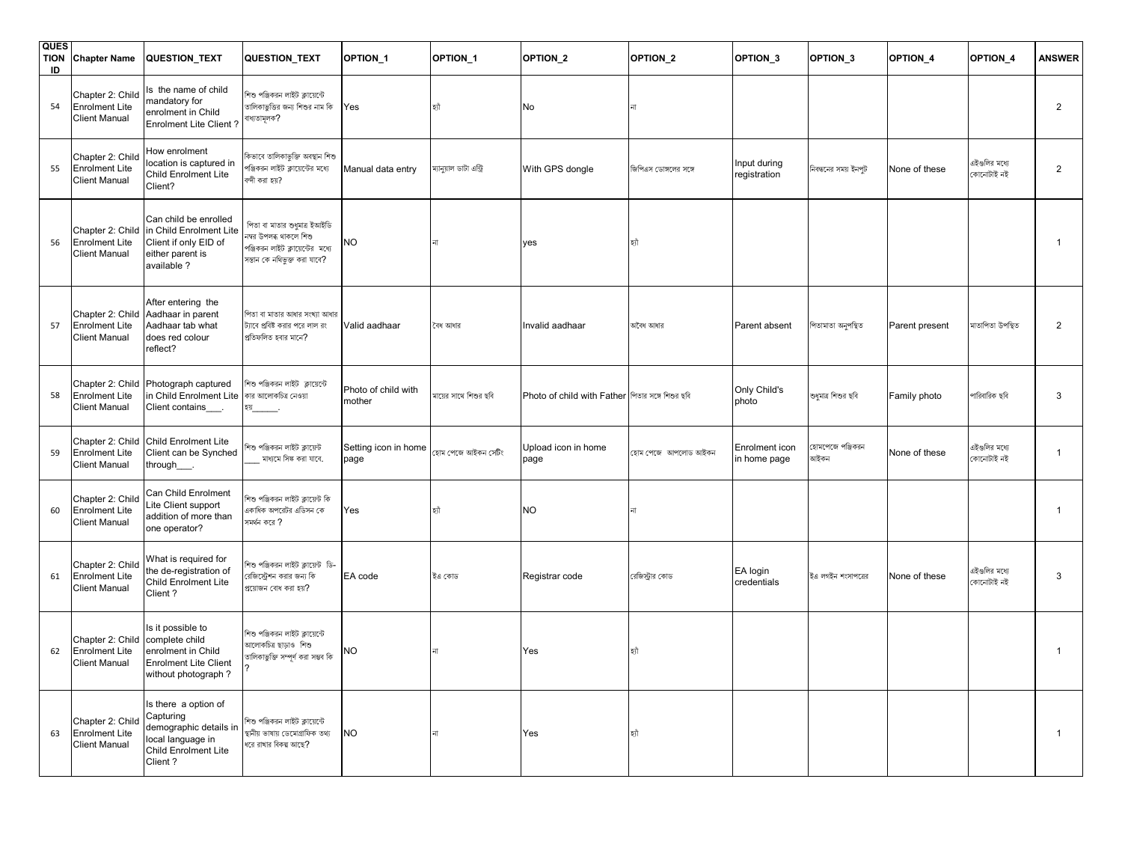| <b>QUES</b><br><b>TION</b><br>ID | <b>Chapter Name</b>                                               | QUESTION_TEXT                                                                                                       | QUESTION_TEXT                                                                                                               | OPTION <sub>1</sub>           | OPTION_1                | OPTION <sub>2</sub>                              | OPTION_2              | OPTION <sub>3</sub>            | OPTION <sub>3</sub>      | OPTION_4       | OPTION <sub>4</sub>         | <b>ANSWER</b>  |
|----------------------------------|-------------------------------------------------------------------|---------------------------------------------------------------------------------------------------------------------|-----------------------------------------------------------------------------------------------------------------------------|-------------------------------|-------------------------|--------------------------------------------------|-----------------------|--------------------------------|--------------------------|----------------|-----------------------------|----------------|
| 54                               | Chapter 2: Child<br><b>Enrolment Lite</b><br><b>Client Manual</b> | Is the name of child<br>mandatory for<br>enrolment in Child<br><b>Enrolment Lite Client?</b>                        | শিশু পঞ্জিকরন লাইট ক্লায়েন্টে<br>তালিকাভুত্তির জন্য শিশুর নাম কি<br>বাধ্যতামূলক?                                           | Yes                           | হ্যী                    | No                                               |                       |                                |                          |                |                             | $\overline{2}$ |
| 55                               | Chapter 2: Child<br><b>Enrolment Lite</b><br><b>Client Manual</b> | How enrolment<br>location is captured in<br>Child Enrolment Lite<br>Client?                                         | কিভাবে তালিকাভুক্তি অবস্থান শিশু<br>পঞ্জিকরন লাইট ক্লায়েন্টের মধ্যে<br>ক্দী করা হয়?                                       | Manual data entry             | ম্যানুয়াল ডাটা এন্ট্রি | With GPS dongle                                  | জিপিএস ডোঙ্গলের সঙ্গে | Input during<br>registration   | নিবন্ধনের সময় ইনপট      | None of these  | এইগুলির মধ্যে<br>কোনোটাই নই | $\overline{2}$ |
| 56                               | Chapter 2: Child<br><b>Enrolment Lite</b><br><b>Client Manual</b> | Can child be enrolled<br>in Child Enrolment Lite<br>Client if only EID of<br>either parent is<br>available?         | পিতা বা মাতার শুধমাত্র ইআইডি<br>নম্বর উপলব্ধ থাকলে শিশু<br>পঞ্জিকরন লাইট ক্লায়েন্টের মধ্যে<br>সন্তান কে নথিভুক্ত করা যাবে? | NO                            |                         | yes                                              | চী                    |                                |                          |                |                             | $\mathbf{1}$   |
| 57                               | Chapter 2: Child<br><b>Enrolment Lite</b><br><b>Client Manual</b> | After entering the<br>Aadhaar in parent<br>Aadhaar tab what<br>does red colour<br>reflect?                          | পিতা বা মাতার আধার সংখ্যা আধার<br>ট্যাবে প্রবিষ্ট করার পরে লাল রং<br>প্রতিফলিত হবার মানে?                                   | Valid aadhaar                 | বৈধ আধার                | Invalid aadhaar                                  | অবৈধ আধার             | Parent absent                  | পিতামাতা অনুপস্থিত       | Parent present | মাতাপিতা উপস্থিত            | $\overline{2}$ |
| 58                               | Chapter 2: Child<br><b>Enrolment Lite</b><br><b>Client Manual</b> | Photograph captured<br>in Child Enrolment Lite<br>Client contains                                                   | শিশু পঞ্জিকরন লাইট ক্লায়েন্টে<br>কার আলোকচিত্র নেওয়া<br>হয়__                                                             | Photo of child with<br>mother | মায়ের সাথে শিশুর ছবি   | Photo of child with Father পিতার সঙ্গে শিশুর ছবি |                       | Only Child's<br>photo          | শুধুমাত্র শিশুর ছবি      | Family photo   | পারিবারিক ছবি               | 3              |
| 59                               | Chapter 2: Child<br><b>Enrolment Lite</b><br><b>Client Manual</b> | Child Enrolment Lite<br>Client can be Synched<br>through____.                                                       | শিশু পঞ্জিকরন লাইট ক্লায়েন্ট<br>মাধ্যমে সিঙ্ক করা যাবে.                                                                    | Setting icon in home<br>page  | হাম পেজে আইকন সেটিং     | Upload icon in home<br>page                      | হোম পেজে  আপলোড আইকন  | Enrolment icon<br>in home page | হামপেজে পঞ্জিকরন<br>আইকন | None of these  | এইগুলির মধ্যে<br>কোনোটাই নই | $\mathbf{1}$   |
| 60                               | Chapter 2: Child<br><b>Enrolment Lite</b><br><b>Client Manual</b> | Can Child Enrolment<br>Lite Client support<br>addition of more than<br>one operator?                                | শিশু পঞ্জিকরন লাইট ক্লায়েন্ট কি<br>একাধিক অপরেটর এডিসন কে<br>সমর্থন করে ?                                                  | Yes                           | হাী                     | <b>NO</b>                                        |                       |                                |                          |                |                             | $\mathbf{1}$   |
| 61                               | Chapter 2: Child<br><b>Enrolment Lite</b><br><b>Client Manual</b> | What is required for<br>the de-registration of<br>Child Enrolment Lite<br>Client?                                   | শিশু পঞ্জিকরন লাইট ক্লায়েন্ট  ডি-<br>রেজিস্ট্রেশন করার জন্য কি<br>প্রয়োজন বোধ করা হয়?                                    | EA code                       | ইএ কোড                  | Registrar code                                   | রেজিস্ট্রার কোড       | EA login<br>credentials        | ইএ লগইন শংসাপত্রের       | None of these  | এইগুলির মধ্যে<br>কোনোটাই নই | 3              |
| 62                               | Chapter 2: Child<br><b>Enrolment Lite</b><br><b>Client Manual</b> | Is it possible to<br>complete child<br>enrolment in Child<br><b>Enrolment Lite Client</b><br>without photograph?    | শিশু পঞ্জিকরন লাইট ক্লায়েন্টে<br>আলোকচিত্ৰ ছাড়াও শিশু<br>তালিকাভুক্তি সম্পূৰ্ণ করা সম্ভব কি                               | NΟ                            |                         | Yes                                              | ñه                    |                                |                          |                |                             | -1             |
| 63                               | Chapter 2: Child<br><b>Enrolment Lite</b><br><b>Client Manual</b> | Is there a option of<br>Capturing<br>demographic details in<br>local language in<br>Child Enrolment Lite<br>Client? | শিশু পঞ্জিকরন লাইট ক্লায়েন্টে<br>স্থানীয় ভাষায় ডেমোগ্ৰাফিক তথ্য<br>ধরে রাখার বিকল্প আছে?                                 | <b>NO</b>                     |                         | Yes                                              |                       |                                |                          |                |                             | $\mathbf{1}$   |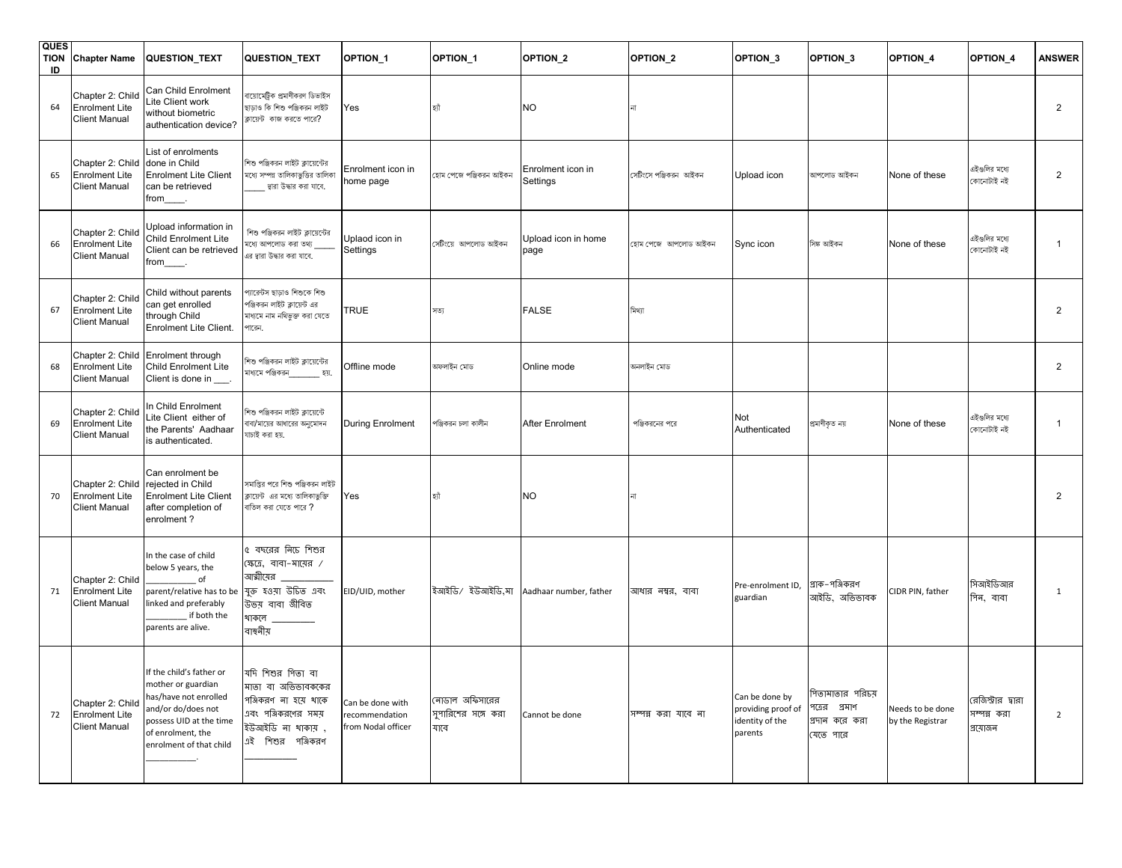| <b>QUES</b><br><b>TION</b><br>ID | <b>Chapter Name</b>                                               | <b>QUESTION_TEXT</b>                                                                                                                                                     | QUESTION_TEXT                                                                                                                     | OPTION <sub>1</sub>                                      | OPTION <sub>1</sub>                           | OPTION <sub>2</sub>           | OPTION <sub>2</sub>   | OPTION <sub>3</sub>                                                | OPTION <sub>3</sub>                                              | OPTION <sub>4</sub>                  | OPTION <sub>4</sub>                           | <b>ANSWER</b>  |
|----------------------------------|-------------------------------------------------------------------|--------------------------------------------------------------------------------------------------------------------------------------------------------------------------|-----------------------------------------------------------------------------------------------------------------------------------|----------------------------------------------------------|-----------------------------------------------|-------------------------------|-----------------------|--------------------------------------------------------------------|------------------------------------------------------------------|--------------------------------------|-----------------------------------------------|----------------|
| 64                               | Chapter 2: Child<br><b>Enrolment Lite</b><br><b>Client Manual</b> | Can Child Enrolment<br>Lite Client work<br>without biometric<br>authentication device?                                                                                   | বায়োমেট্রিক প্রমাণীকরণ ডিভাইস<br>ছাড়াও কি শিশু পঞ্জিকরন লাইট<br>ক্লায়েন্ট কাজ করতে পারে?                                       | Yes                                                      | হ্যী                                          | <b>NO</b>                     |                       |                                                                    |                                                                  |                                      |                                               | 2              |
| 65                               | Chapter 2: Child<br><b>Enrolment Lite</b><br>Client Manual        | List of enrolments<br>done in Child<br><b>Enrolment Lite Client</b><br>can be retrieved<br>from_____.                                                                    | শিশু পঞ্জিকরন লাইট ক্লায়েন্টের<br>মধ্যে সম্পন্ন তালিকাভুত্তির তালিকা<br>দ্বারা উদ্ধার করা যাবে.                                  | Enrolment icon in<br>home page                           | হোম পেজে পঞ্জিকরন আইকন                        | Enrolment icon in<br>Settings | সেটিংসে পঞ্জিকরন আইকন | Upload icon                                                        | আপলোড আইকন                                                       | None of these                        | এইগুলির মধ্যে<br>কোনোটাই নই                   | 2              |
| 66                               | Chapter 2: Child<br><b>Enrolment Lite</b><br><b>Client Manual</b> | Upload information in<br>Child Enrolment Lite<br>Client can be retrieved<br>from_____.                                                                                   | শিশু পঞ্জিকরন লাইট ক্লায়েন্টের<br>মধ্যে আপলোড করা তথ্য<br>এর দ্বারা উদ্ধার করা যাবে.                                             | Uplaod icon in<br>Settings                               | সেটিংয়ে আপলোড আইকন                           | Upload icon in home<br>page   | হোম পেজে আপলোড আইকন   | Sync icon                                                          | সিঙ্ক আইকন                                                       | None of these                        | এইগুলির মধ্যে<br>কোনোটাই নই                   | 1              |
| 67                               | Chapter 2: Child<br><b>Enrolment Lite</b><br>Client Manual        | Child without parents<br>can get enrolled<br>through Child<br>Enrolment Lite Client.                                                                                     | প্যারেটস ছাড়াও শিশুকে শিশু<br>পঞ্জিকরন লাইট ক্লায়েন্ট এর<br>মাধ্যমে নাম নথিভক্ত করা যেতে<br>পারেন.                              | TRUE                                                     | সত্য                                          | <b>FALSE</b>                  | মিথ্যা                |                                                                    |                                                                  |                                      |                                               | $\overline{2}$ |
| 68                               | Chapter 2: Child<br><b>Enrolment Lite</b><br><b>Client Manual</b> | Enrolment through<br>Child Enrolment Lite<br>Client is done in ___.                                                                                                      | শিশু পঞ্জিকরন লাইট ক্লায়েন্টের<br>মাধ্যমে পঞ্জিকরন ________ হয়.                                                                 | Offline mode                                             | অফলাইন মোড                                    | Online mode                   | অনলাইন মোড            |                                                                    |                                                                  |                                      |                                               | $\overline{2}$ |
| 69                               | Chapter 2: Child<br><b>Enrolment Lite</b><br><b>Client Manual</b> | In Child Enrolment<br>Lite Client either of<br>the Parents' Aadhaar<br>is authenticated.                                                                                 | শিশু পঞ্জিকরন লাইট ক্লায়েন্টে<br>বাবা/মায়ের আধারের অনুমোদন<br>যাচাই করা হয়.                                                    | During Enrolment                                         | পঞ্জিকরন চলা কালীন                            | After Enrolment               | পঞ্জিকরনের পরে        | Not<br>Authenticated                                               | প্ৰমাণীকৃত নয়                                                   | None of these                        | এইগুলির মধ্যে<br>কোনোটাই নই                   | 1              |
| 70                               | Chapter 2: Child<br><b>Enrolment Lite</b><br><b>Client Manual</b> | Can enrolment be<br>rejected in Child<br><b>Enrolment Lite Client</b><br>after completion of<br>enrolment?                                                               | সমাপ্তির পরে শিশু পঞ্জিকরন লাইট<br>ক্লায়েন্ট  এর মধ্যে তালিকাভুক্তি<br>বাতিল করা যেতে পারে ?                                     | Yes                                                      | হ্যাঁ                                         | NO                            |                       |                                                                    |                                                                  |                                      |                                               | 2              |
| 71                               | Chapter 2: Child<br><b>Enrolment Lite</b><br><b>Client Manual</b> | In the case of child<br>below 5 years, the<br>of<br>parent/relative has to be<br>linked and preferably<br>if both the<br>parents are alive.                              | ৫ বছরের নিচে শিশুর<br>ক্ষেত্রে, বাবা-মায়ের /<br>আত্মীয়ের<br>যুক্ত হওয়া উচিত এবং<br>উভয় বাবা জীবিত<br>থাকলে<br>বাস্থলীয়       | EID/UID, mother                                          | ইআইডি/ ইউআইডি,মা                              | Aadhaar number, father        | আধার নম্বর, বাবা      | Pre-enrolment ID,<br>guardian                                      | প্রাক–পঞ্জিকরণ<br>আইডি, অভিভাবক                                  | CIDR PIN, father                     | সিআইডিআর<br>গিন, বাবা                         | 1              |
| 72                               | Chapter 2: Child<br><b>Enrolment Lite</b><br><b>Client Manual</b> | If the child's father or<br>mother or guardian<br>has/have not enrolled<br>and/or do/does not<br>possess UID at the time<br>of enrolment, the<br>enrolment of that child | যদি শিশুর পিতা বা<br>মাতা বা অভিভাবককের<br>পঞ্জিকরণ না হয়ে থাকে<br>এবং পঞ্জিকরণের সময়<br>ইউআইডি না থাকায়,<br>এই শিশুর পঞ্জিকরণ | Can be done with<br>recommendation<br>from Nodal officer | নোডাল অফিসারের<br>সুপারিশের সঙ্গে করা<br>যাবে | Cannot be done                | সম্পন্ন করা যাবে না   | Can be done by<br>providing proof of<br>identity of the<br>parents | পিতামাতার পরিচয়<br>পত্রের প্রমাণ<br>প্রদান করে করা<br>যেতে পারে | Needs to be done<br>by the Registrar | রেজিস্ট্রার দ্বারা<br>সম্পন্ন করা<br>প্ৰয়োজন | $\overline{2}$ |